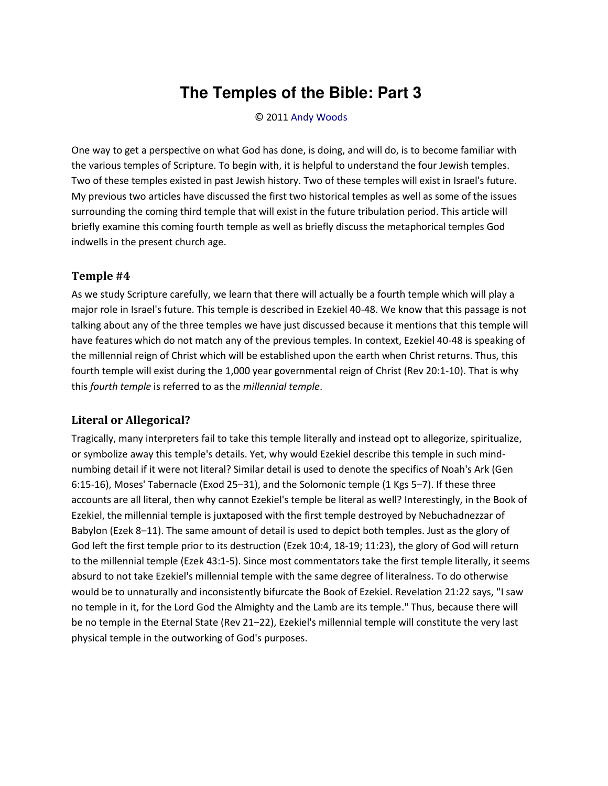## **The Temples of the Bible: Part 3**

© 2011 [Andy Woods](http://www.spiritandtruth.org/id/aw.htm)

One way to get a perspective on what God has done, is doing, and will do, is to become familiar with the various temples of Scripture. To begin with, it is helpful to understand the four Jewish temples. Two of these temples existed in past Jewish history. Two of these temples will exist in Israel's future. My previous two articles have discussed the first two historical temples as well as some of the issues surrounding the coming third temple that will exist in the future tribulation period. This article will briefly examine this coming fourth temple as well as briefly discuss the metaphorical temples God indwells in the present church age.

## **Temple #4**

As we study Scripture carefully, we learn that there will actually be a fourth temple which will play a major role in Israel's future. This temple is described in Ezekiel 40-48. We know that this passage is not talking about any of the three temples we have just discussed because it mentions that this temple will have features which do not match any of the previous temples. In context, Ezekiel 40-48 is speaking of the millennial reign of Christ which will be established upon the earth when Christ returns. Thus, this fourth temple will exist during the 1,000 year governmental reign of Christ (Rev 20:1-10). That is why this *fourth temple* is referred to as the *millennial temple*.

## **Literal or Allegorical?**

Tragically, many interpreters fail to take this temple literally and instead opt to allegorize, spiritualize, or symbolize away this temple's details. Yet, why would Ezekiel describe this temple in such mindnumbing detail if it were not literal? Similar detail is used to denote the specifics of Noah's Ark (Gen 6:15-16), Moses' Tabernacle (Exod 25-31), and the Solomonic temple (1 Kgs 5-7). If these three accounts are all literal, then why cannot Ezekiel's temple be literal as well? Interestingly, in the Book of Ezekiel, the millennial temple is juxtaposed with the first temple destroyed by Nebuchadnezzar of Babylon (Ezek 8-11). The same amount of detail is used to depict both temples. Just as the glory of God left the first temple prior to its destruction (Ezek 10:4, 18-19; 11:23), the glory of God will return to the millennial temple (Ezek 43:1-5). Since most commentators take the first temple literally, it seems absurd to not take Ezekiel's millennial temple with the same degree of literalness. To do otherwise would be to unnaturally and inconsistently bifurcate the Book of Ezekiel. Revelation 21:22 says, "I saw no temple in it, for the Lord God the Almighty and the Lamb are its temple." Thus, because there will be no temple in the Eternal State (Rev 21-22), Ezekiel's millennial temple will constitute the very last physical temple in the outworking of God's purposes.